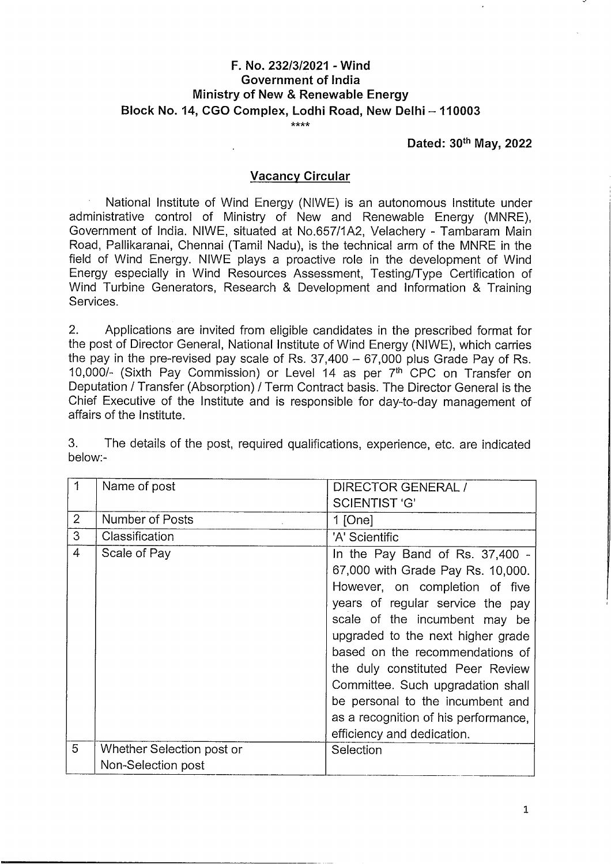# **F. No. 232/3/2021 - Wind Government of India Ministry of New & Renewable Energy Block No. 14, CGO Complex, Lodhi Road, New Delhi - <sup>110003</sup>** \*\*\*\*

#### **Dated: 30 May, <sup>2022</sup>**

#### **Vacancy Circular**

National Institute of Wind Energy (NIWE) is an autonomous Institute under administrative control of Ministry of New and Renewable Energy (MNRE), Government of India. NIWE, situated at No.657/1A2, Velachery - Tambaram Main Road, Pallikaranai, Chennai (Tamil Nadu), is the technical arm of the MNRE in the field of Wind Energy. NIWE plays <sup>a</sup> proactive role in the development of Wind Energy especially in Wind Resources Assessment, Testing/Type Certification of Wind Turbine Generators, Research & Development and Information & Training Services.

2. Applications are invited from eligible candidates in the prescribed format for the post of Director General, National Institute of Wind Energy (NIWE), which carries the pay in the pre-revised pay scale of Rs.  $37,400 - 67,000$  plus Grade Pay of Rs. 10,000/- (Sixth Pay Commission) or Level 14 as per 7<sup>th</sup> CPC on Transfer on Deputation/ Transfer (Absorption)/ Term Contract basis. The Director General is the Chief Executive of the Institute and is responsible for day-to-day management of affairs of the Institute.

3. The details of the post, required qualifications, experience, etc. are indicated below.-

| 1              | Name of post              | DIRECTOR GENERAL /                   |
|----------------|---------------------------|--------------------------------------|
|                |                           | <b>SCIENTIST 'G'</b>                 |
| $\overline{2}$ | Number of Posts           | 1 [One]                              |
| 3              | Classification            | 'A' Scientific                       |
| $\overline{4}$ | Scale of Pay              | In the Pay Band of Rs. 37,400 -      |
|                |                           | 67,000 with Grade Pay Rs. 10,000.    |
|                |                           | However, on completion of five       |
|                |                           | years of regular service the pay     |
|                |                           | scale of the incumbent may be        |
|                |                           | upgraded to the next higher grade    |
|                |                           | based on the recommendations of      |
|                |                           | the duly constituted Peer Review     |
|                |                           | Committee. Such upgradation shall    |
|                |                           | be personal to the incumbent and     |
|                |                           | as a recognition of his performance, |
|                |                           | efficiency and dedication.           |
| 5              | Whether Selection post or | Selection                            |
|                | Non-Selection post        |                                      |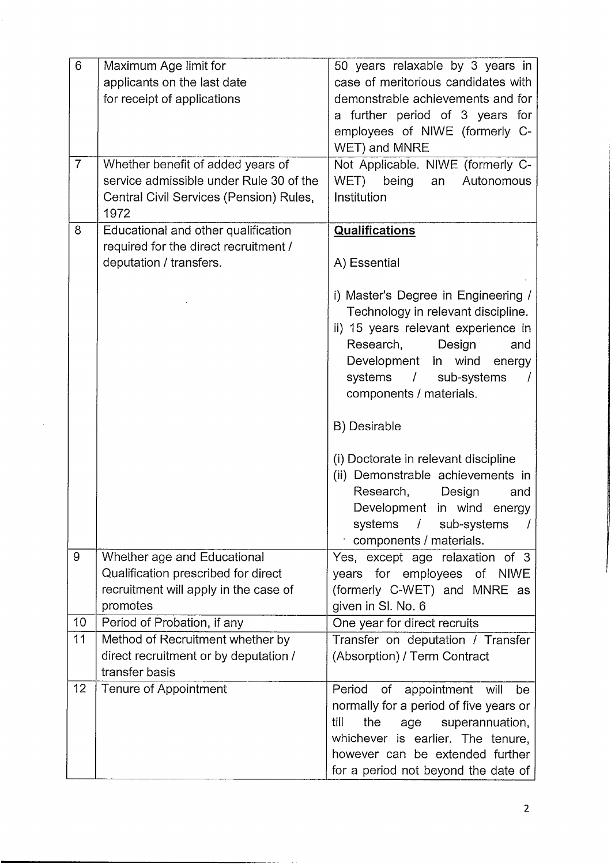| 6              | Maximum Age limit for                                   | 50 years relaxable by 3 years in                                    |
|----------------|---------------------------------------------------------|---------------------------------------------------------------------|
|                | applicants on the last date                             | case of meritorious candidates with                                 |
|                | for receipt of applications                             | demonstrable achievements and for                                   |
|                |                                                         | a further period of 3 years for                                     |
|                |                                                         | employees of NIWE (formerly C-                                      |
|                |                                                         | WET) and MNRE                                                       |
| $\overline{7}$ | Whether benefit of added years of                       | Not Applicable. NIWE (formerly C-                                   |
|                | service admissible under Rule 30 of the                 | WET)<br>being<br>Autonomous<br>an                                   |
|                | Central Civil Services (Pension) Rules,                 | Institution                                                         |
|                | 1972                                                    |                                                                     |
| 8              | Educational and other qualification                     | Qualifications                                                      |
|                | required for the direct recruitment /                   |                                                                     |
|                | deputation / transfers.                                 | A) Essential                                                        |
|                |                                                         | i) Master's Degree in Engineering /                                 |
|                |                                                         | Technology in relevant discipline.                                  |
|                |                                                         | ii) 15 years relevant experience in                                 |
|                |                                                         | Research,<br>Design<br>and                                          |
|                |                                                         | Development in wind<br>energy                                       |
|                |                                                         | systems<br>$\prime$<br>sub-systems                                  |
|                |                                                         | components / materials.                                             |
|                |                                                         |                                                                     |
|                |                                                         | B) Desirable                                                        |
|                |                                                         | (i) Doctorate in relevant discipline                                |
|                |                                                         | (ii) Demonstrable achievements in                                   |
|                |                                                         | Research,<br>Design<br>and                                          |
|                |                                                         | Development in wind<br>energy                                       |
|                |                                                         | systems / sub-systems                                               |
|                |                                                         | components / materials.                                             |
| 9              | Whether age and Educational                             | Yes, except age relaxation of 3                                     |
|                | Qualification prescribed for direct                     | years for employees<br>of NIWE                                      |
|                | recruitment will apply in the case of                   | (formerly C-WET) and MNRE as                                        |
|                | promotes                                                | given in SI. No. 6                                                  |
| 10             | Period of Probation, if any                             | One year for direct recruits                                        |
| 11             | Method of Recruitment whether by                        | Transfer on deputation / Transfer                                   |
|                | direct recruitment or by deputation /<br>transfer basis | (Absorption) / Term Contract                                        |
| 12             | Tenure of Appointment                                   | Period<br>of                                                        |
|                |                                                         | appointment<br>will<br>be<br>normally for a period of five years or |
|                |                                                         | till<br>the<br>superannuation,                                      |
|                |                                                         | age<br>whichever is earlier. The tenure,                            |
|                |                                                         | however can be extended further                                     |
|                |                                                         | for a period not beyond the date of                                 |
|                |                                                         |                                                                     |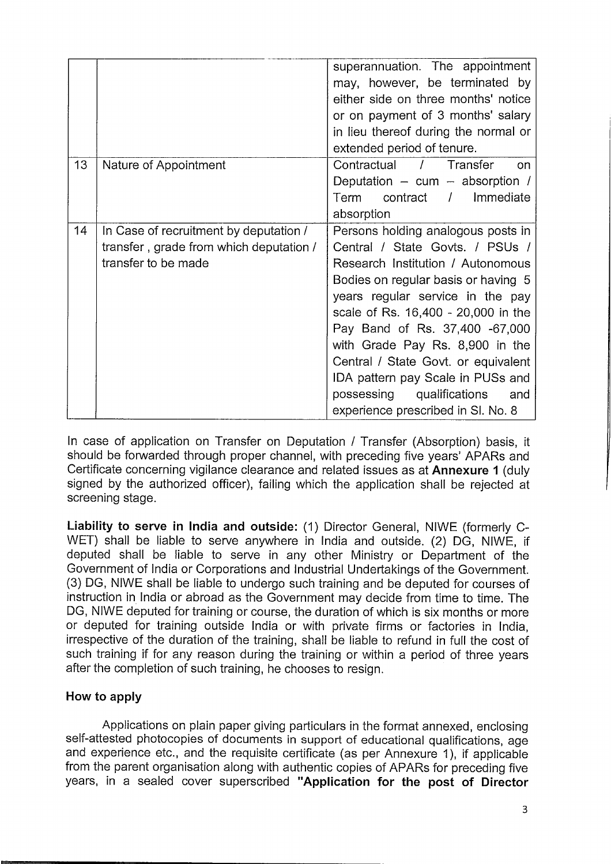|    |                                         | superannuation. The appointment                                           |
|----|-----------------------------------------|---------------------------------------------------------------------------|
|    |                                         | may, however, be terminated by                                            |
|    |                                         | either side on three months' notice                                       |
|    |                                         | or on payment of 3 months' salary                                         |
|    |                                         | in lieu thereof during the normal or                                      |
|    |                                         | extended period of tenure.                                                |
| 13 | Nature of Appointment                   | Contractual /<br>Transfer<br>$\Omega$                                     |
|    |                                         | Deputation $-$ cum $-$ absorption /                                       |
|    |                                         | contract / Immediate<br>Term                                              |
|    |                                         | absorption                                                                |
| 14 | In Case of recruitment by deputation /  | Persons holding analogous posts in                                        |
|    | transfer, grade from which deputation / | Central / State Govts. / PSUs /                                           |
|    | transfer to be made                     | Research Institution / Autonomous                                         |
|    |                                         | Bodies on regular basis or having 5                                       |
|    |                                         | years regular service in the pay                                          |
|    |                                         | scale of Rs. 16,400 - 20,000 in the                                       |
|    |                                         | Pay Band of Rs. 37,400 -67,000                                            |
|    |                                         | with Grade Pay Rs. 8,900 in the                                           |
|    |                                         | Central / State Govt. or equivalent                                       |
|    |                                         | IDA pattern pay Scale in PUSs and                                         |
|    |                                         |                                                                           |
|    |                                         | possessing<br>qualifications<br>and<br>experience prescribed in SI. No. 8 |

In case of application on Transfer on Deputation / Transfer (Absorption) basis, it should be forwarded through proper channel, with preceding five years' APARs and Certificate concerning vigilance clearance and related issues as at **Annexure <sup>1</sup>** (duly signed by the authorized officer), failing which the application shall be rejected at screening stage.

**Liability to serve in India and outside:** (1) Director General, NIWE (formerly C-WET) shall be liable to serve anywhere in India and outside. (2) DG, NIWE, if deputed shall be liable to serve in any other Ministry or Department of the Government of India or Corporations and Industrial Undertakings of the Government. (3) DG, NIWE shall be liable to undergo such training and be deputed for courses of instruction in India or abroad as the Government may decide from time to time. The DG, NIWE deputed for training or course, the duration of which is six months or more or deputed for training outside India or with private firms or factories in India, irrespective of the duration of the training, shall be liable to refund in full the cost of such training if for any reason during the training or within <sup>a</sup> period of three years after the completion of such training, he chooses to resign.

## **How to apply**

Applications on plain paper giving particulars in the format annexed, enclosing self-attested photocopies of documents in support of educational qualifications, age and experience etc., and the requisite certificate (as per Annexure 1), if applicable from the parent organisation along with authentic copies of APARs for preceding five years, in <sup>a</sup> sealed cover superscribed **"Application for the post of Director**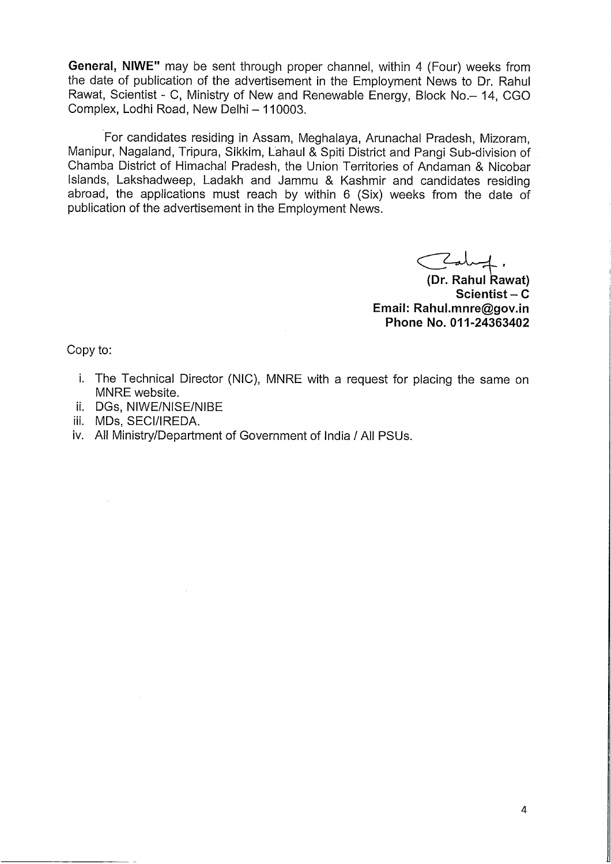**General, NIWE"** may be sent through proper channel, within 4 (Four) weeks from the date of publication of the advertisement in the Employment News to Dr. Rahul Rawat, Scientist - C, Ministry of New and Renewable Energy, Block No. - 14, CGO Complex, Lodhi Road, New Delhi - 110003.

For candidates residing in Assam, Meghalaya, Arunachal Pradesh, Mizoram, Manipur, Nagaland, Tripura, Sikkim, Lahaul & Spiti District and Pangi Sub-division of Chamba District of Himachal Pradesh, the Union Territories of Andaman & Nicobar Islands, Lakshadweep, Ladakh and Jammu & Kashmir and candidates residing abroad, the applications must reach by within <sup>6</sup> (Six) weeks from the date of publication of the advertisement in the Employment News.

?l4. **(Dr. Rahul Rawat)**

**Scientist-C Email: Rahul.mnre@gov.in Phone No. 011-24363402**

Copy to:

- i. The Technical Director (NIC), MNRE with <sup>a</sup> request for placing the same on MNRE website.
- ii. DGs, NIWE/NISE/NIBE
- iii. MDs, SECI/IREDA.
- iv. All Ministry/Department of Government of India / All PSUs.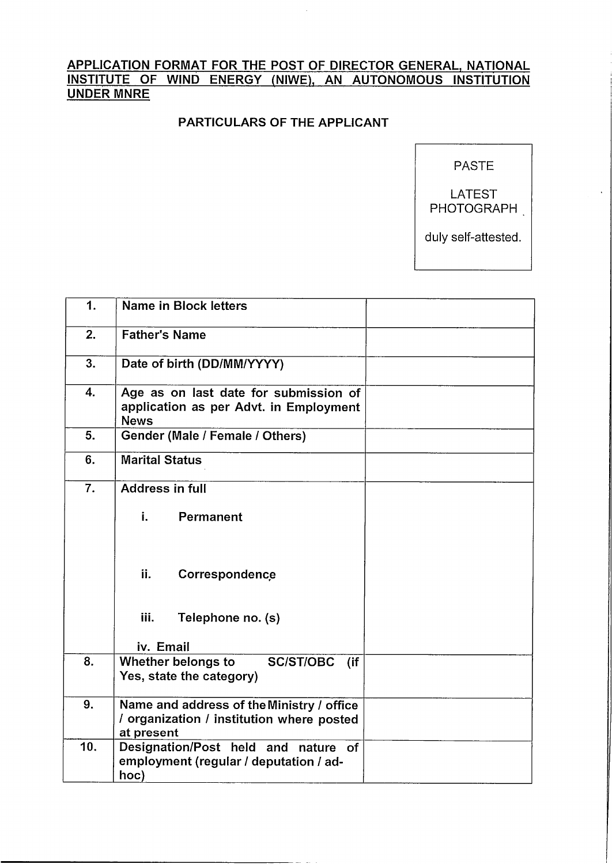# APPLICATION FORMAT FOR THE POST OF DIRECTOR GENERAL, NATIONAL INSTITUTE OF WIND ENERGY (NIWE), AN AUTONOMOUS INSTITUTION UNDER MNRE

## PARTICULARS OF THE APPLICANT

PASTE

LATEST PHOTOGRAPH

duly self-attested.

| 1.  | <b>Name in Block letters</b>                                                                         |  |  |  |
|-----|------------------------------------------------------------------------------------------------------|--|--|--|
| 2.  | <b>Father's Name</b>                                                                                 |  |  |  |
| 3.  | Date of birth (DD/MM/YYYY)                                                                           |  |  |  |
| 4.  | Age as on last date for submission of<br>application as per Advt. in Employment<br><b>News</b>       |  |  |  |
| 5.  | Gender (Male / Female / Others)                                                                      |  |  |  |
| 6.  | <b>Marital Status</b>                                                                                |  |  |  |
| 7.  | Address in full                                                                                      |  |  |  |
|     | i.<br>Permanent                                                                                      |  |  |  |
|     | ii.<br>Correspondence                                                                                |  |  |  |
|     | iii.<br>Telephone no. (s)<br>iv. Email                                                               |  |  |  |
| 8.  | Whether belongs to<br><b>SC/ST/OBC</b><br>$($ if<br>Yes, state the category)                         |  |  |  |
| 9.  | Name and address of the Ministry / office<br>/ organization / institution where posted<br>at present |  |  |  |
| 10. | Designation/Post held and nature of<br>employment (regular / deputation / ad-<br>hoc)                |  |  |  |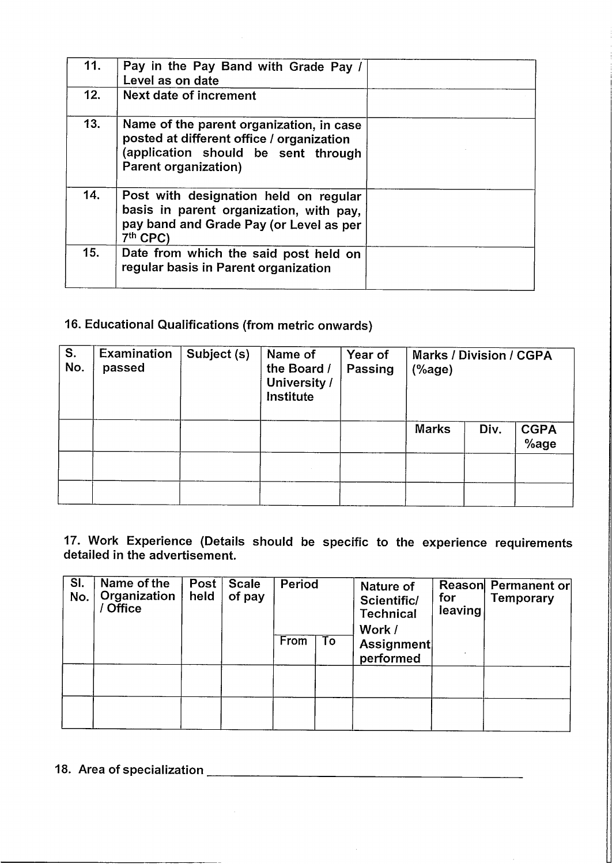| 11. | Pay in the Pay Band with Grade Pay /<br>Level as on date                                                                                             |  |
|-----|------------------------------------------------------------------------------------------------------------------------------------------------------|--|
| 12. | <b>Next date of increment</b>                                                                                                                        |  |
| 13. | Name of the parent organization, in case<br>posted at different office / organization<br>(application should be sent through<br>Parent organization) |  |
| 14. | Post with designation held on regular<br>basis in parent organization, with pay,<br>pay band and Grade Pay (or Level as per<br>7th CPC)              |  |
| 15. | Date from which the said post held on<br>regular basis in Parent organization                                                                        |  |

# 16. Educational Qualifications (from metric onwards)

| S.<br>No. | Examination<br>passed | Subject (s) | Name of<br>the Board /<br>University /<br><b>Institute</b> | Year of<br>Passing | <b>Marks / Division / CGPA</b><br>$(% \mathcal{L}^{\prime }\cap \mathcal{L}^{\prime })$ |      |                     |
|-----------|-----------------------|-------------|------------------------------------------------------------|--------------------|-----------------------------------------------------------------------------------------|------|---------------------|
|           |                       |             |                                                            |                    | <b>Marks</b>                                                                            | Div. | <b>CGPA</b><br>%age |
|           |                       |             |                                                            |                    |                                                                                         |      |                     |
|           |                       |             |                                                            |                    |                                                                                         |      |                     |

# 17. Work Experience (Details should be specific to the experience requirements detailed in the advertisement.

| SI.<br>No. | Name of the<br>Organization<br><b>Office</b> | Post<br>held | <b>Scale</b><br>of pay | Period |    | Nature of<br>Scientific/<br><b>Technical</b><br>Work / | for<br>leaving | Reason Permanent or<br>Temporary |
|------------|----------------------------------------------|--------------|------------------------|--------|----|--------------------------------------------------------|----------------|----------------------------------|
|            |                                              |              |                        | From   | To | Assignment<br>performed                                |                |                                  |
|            |                                              |              |                        |        |    |                                                        |                |                                  |
|            |                                              |              |                        |        |    |                                                        |                |                                  |

 $\bar{\mathcal{A}}$ 

# ]8., Area of specialization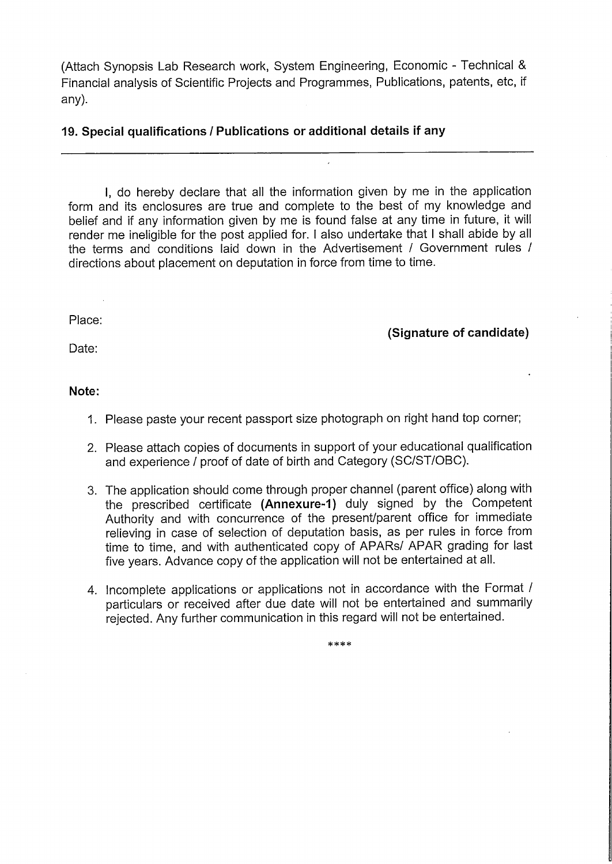(Attach Synopsis Lab Research work, System Engineering, Economic - Technical & Financial analysis of Scientific Projects and Programmes, Publications, patents, etc, if any).

#### **19. Special qualifications/ Publications or additional details if any**

I, do hereby declare that all the information given by me in the application form and its enclosures are true and complete to the best of my knowledge and belief and if any information given by me is found false at any time in future, it will render me ineligible for the post applied for. <sup>I</sup> also undertake that <sup>I</sup> shall abide by all the terms and conditions laid down in the Advertisement / Government rules / directions about placement on deputation in force from time to time.

Place:

**(Signature of candidate)**

Date:

### **Note:**

- 1. Please paste your recent passport size photograph on right hand top corner;
- 2. Please attach copies of documents in support of your educational qualification and experience/ proof of date of birth and Category (SC/ST/OBC).
- 3. The application should come through proper channel (parent office) along with the prescribed certificate **(Annexure-1)** duly signed by the Competent Authority and with concurrence of the present/parent office for immediate relieving in case of selection of deputation basis, as per rules in force from time to time, and with authenticated copy of APARs/ APAR grading for last five years. Advance copy of the application will not be entertained at all.
- 4. Incomplete applications or applications not in accordance with the Format / particulars or received after due date will not be entertained and summarily rejected. Any further communication in this regard will not be entertained.

\*\*\*\*